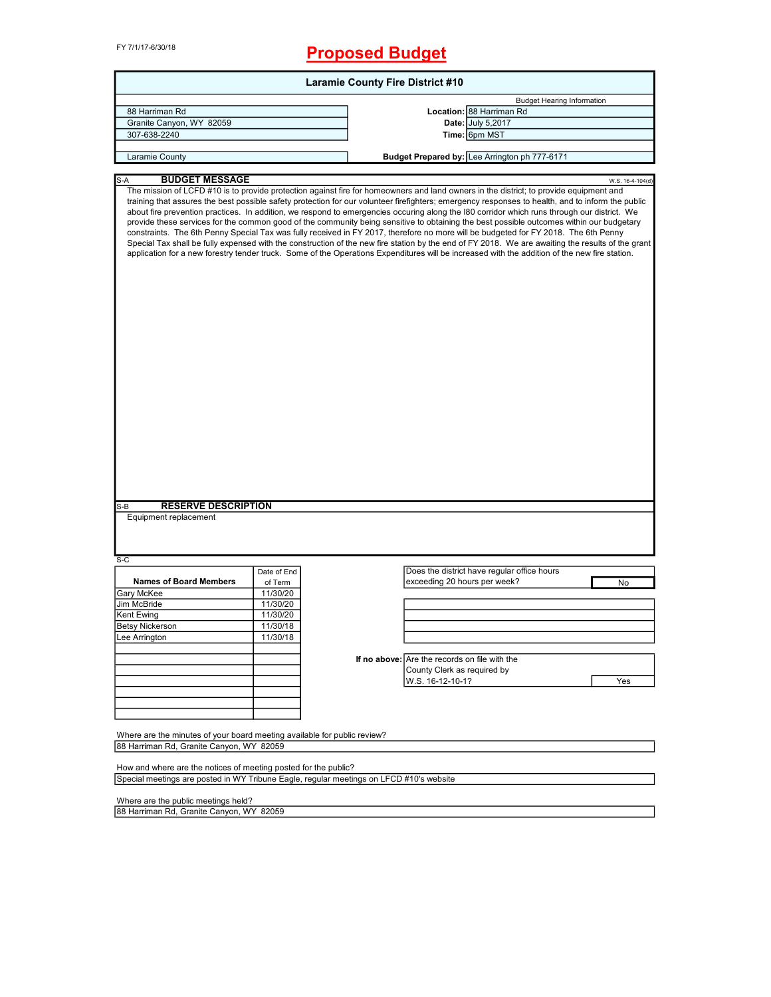FY 7/1/17-6/30/18

# **Proposed Budget**

| <b>Laramie County Fire District #10</b>                                                 |             |                                               |                                                                                                                                                                                                                                                                                                                                                                                                                                                                                                                                                                                                                                                                                                                                                                                                                                                                                                                                                                                                                                                         |  |  |
|-----------------------------------------------------------------------------------------|-------------|-----------------------------------------------|---------------------------------------------------------------------------------------------------------------------------------------------------------------------------------------------------------------------------------------------------------------------------------------------------------------------------------------------------------------------------------------------------------------------------------------------------------------------------------------------------------------------------------------------------------------------------------------------------------------------------------------------------------------------------------------------------------------------------------------------------------------------------------------------------------------------------------------------------------------------------------------------------------------------------------------------------------------------------------------------------------------------------------------------------------|--|--|
|                                                                                         |             |                                               | <b>Budget Hearing Information</b>                                                                                                                                                                                                                                                                                                                                                                                                                                                                                                                                                                                                                                                                                                                                                                                                                                                                                                                                                                                                                       |  |  |
| 88 Harriman Rd                                                                          |             |                                               | Location: 88 Harriman Rd                                                                                                                                                                                                                                                                                                                                                                                                                                                                                                                                                                                                                                                                                                                                                                                                                                                                                                                                                                                                                                |  |  |
| Granite Canyon, WY 82059                                                                |             |                                               | Date: July 5,2017                                                                                                                                                                                                                                                                                                                                                                                                                                                                                                                                                                                                                                                                                                                                                                                                                                                                                                                                                                                                                                       |  |  |
| 307-638-2240                                                                            |             |                                               | Time: 6pm MST                                                                                                                                                                                                                                                                                                                                                                                                                                                                                                                                                                                                                                                                                                                                                                                                                                                                                                                                                                                                                                           |  |  |
|                                                                                         |             |                                               |                                                                                                                                                                                                                                                                                                                                                                                                                                                                                                                                                                                                                                                                                                                                                                                                                                                                                                                                                                                                                                                         |  |  |
| Laramie County                                                                          |             |                                               | Budget Prepared by: Lee Arrington ph 777-6171                                                                                                                                                                                                                                                                                                                                                                                                                                                                                                                                                                                                                                                                                                                                                                                                                                                                                                                                                                                                           |  |  |
| <b>BUDGET MESSAGE</b><br>$S-A$                                                          |             |                                               |                                                                                                                                                                                                                                                                                                                                                                                                                                                                                                                                                                                                                                                                                                                                                                                                                                                                                                                                                                                                                                                         |  |  |
|                                                                                         |             |                                               | W.S. 16-4-104(d)<br>The mission of LCFD #10 is to provide protection against fire for homeowners and land owners in the district; to provide equipment and<br>training that assures the best possible safety protection for our volunteer firefighters; emergency responses to health, and to inform the public<br>about fire prevention practices. In addition, we respond to emergencies occuring along the I80 corridor which runs through our district. We<br>provide these services for the common good of the community being sensitive to obtaining the best possible outcomes within our budgetary<br>constraints. The 6th Penny Special Tax was fully received in FY 2017, therefore no more will be budgeted for FY 2018. The 6th Penny<br>Special Tax shall be fully expensed with the construction of the new fire station by the end of FY 2018. We are awaiting the results of the grant<br>application for a new forestry tender truck. Some of the Operations Expenditures will be increased with the addition of the new fire station. |  |  |
|                                                                                         |             |                                               |                                                                                                                                                                                                                                                                                                                                                                                                                                                                                                                                                                                                                                                                                                                                                                                                                                                                                                                                                                                                                                                         |  |  |
| <b>RESERVE DESCRIPTION</b><br>S-B                                                       |             |                                               |                                                                                                                                                                                                                                                                                                                                                                                                                                                                                                                                                                                                                                                                                                                                                                                                                                                                                                                                                                                                                                                         |  |  |
| Equipment replacement                                                                   |             |                                               |                                                                                                                                                                                                                                                                                                                                                                                                                                                                                                                                                                                                                                                                                                                                                                                                                                                                                                                                                                                                                                                         |  |  |
| $S-C$                                                                                   |             |                                               |                                                                                                                                                                                                                                                                                                                                                                                                                                                                                                                                                                                                                                                                                                                                                                                                                                                                                                                                                                                                                                                         |  |  |
|                                                                                         | Date of End |                                               | Does the district have regular office hours                                                                                                                                                                                                                                                                                                                                                                                                                                                                                                                                                                                                                                                                                                                                                                                                                                                                                                                                                                                                             |  |  |
| <b>Names of Board Members</b>                                                           | of Term     | exceeding 20 hours per week?                  | No                                                                                                                                                                                                                                                                                                                                                                                                                                                                                                                                                                                                                                                                                                                                                                                                                                                                                                                                                                                                                                                      |  |  |
| Gary McKee                                                                              | 11/30/20    |                                               |                                                                                                                                                                                                                                                                                                                                                                                                                                                                                                                                                                                                                                                                                                                                                                                                                                                                                                                                                                                                                                                         |  |  |
| Jim McBride                                                                             | 11/30/20    |                                               |                                                                                                                                                                                                                                                                                                                                                                                                                                                                                                                                                                                                                                                                                                                                                                                                                                                                                                                                                                                                                                                         |  |  |
| Kent Ewing                                                                              | 11/30/20    |                                               |                                                                                                                                                                                                                                                                                                                                                                                                                                                                                                                                                                                                                                                                                                                                                                                                                                                                                                                                                                                                                                                         |  |  |
|                                                                                         |             |                                               |                                                                                                                                                                                                                                                                                                                                                                                                                                                                                                                                                                                                                                                                                                                                                                                                                                                                                                                                                                                                                                                         |  |  |
| <b>Betsy Nickerson</b>                                                                  | 11/30/18    |                                               |                                                                                                                                                                                                                                                                                                                                                                                                                                                                                                                                                                                                                                                                                                                                                                                                                                                                                                                                                                                                                                                         |  |  |
| Lee Arrington                                                                           | 11/30/18    |                                               |                                                                                                                                                                                                                                                                                                                                                                                                                                                                                                                                                                                                                                                                                                                                                                                                                                                                                                                                                                                                                                                         |  |  |
|                                                                                         |             |                                               |                                                                                                                                                                                                                                                                                                                                                                                                                                                                                                                                                                                                                                                                                                                                                                                                                                                                                                                                                                                                                                                         |  |  |
|                                                                                         |             | If no above: Are the records on file with the |                                                                                                                                                                                                                                                                                                                                                                                                                                                                                                                                                                                                                                                                                                                                                                                                                                                                                                                                                                                                                                                         |  |  |
|                                                                                         |             | County Clerk as required by                   |                                                                                                                                                                                                                                                                                                                                                                                                                                                                                                                                                                                                                                                                                                                                                                                                                                                                                                                                                                                                                                                         |  |  |
|                                                                                         |             | W.S. 16-12-10-1?                              | Yes                                                                                                                                                                                                                                                                                                                                                                                                                                                                                                                                                                                                                                                                                                                                                                                                                                                                                                                                                                                                                                                     |  |  |
|                                                                                         |             |                                               |                                                                                                                                                                                                                                                                                                                                                                                                                                                                                                                                                                                                                                                                                                                                                                                                                                                                                                                                                                                                                                                         |  |  |
|                                                                                         |             |                                               |                                                                                                                                                                                                                                                                                                                                                                                                                                                                                                                                                                                                                                                                                                                                                                                                                                                                                                                                                                                                                                                         |  |  |
|                                                                                         |             |                                               |                                                                                                                                                                                                                                                                                                                                                                                                                                                                                                                                                                                                                                                                                                                                                                                                                                                                                                                                                                                                                                                         |  |  |
|                                                                                         |             |                                               |                                                                                                                                                                                                                                                                                                                                                                                                                                                                                                                                                                                                                                                                                                                                                                                                                                                                                                                                                                                                                                                         |  |  |
| Where are the minutes of your board meeting available for public review?                |             |                                               |                                                                                                                                                                                                                                                                                                                                                                                                                                                                                                                                                                                                                                                                                                                                                                                                                                                                                                                                                                                                                                                         |  |  |
| 88 Harriman Rd, Granite Canyon, WY 82059                                                |             |                                               |                                                                                                                                                                                                                                                                                                                                                                                                                                                                                                                                                                                                                                                                                                                                                                                                                                                                                                                                                                                                                                                         |  |  |
|                                                                                         |             |                                               |                                                                                                                                                                                                                                                                                                                                                                                                                                                                                                                                                                                                                                                                                                                                                                                                                                                                                                                                                                                                                                                         |  |  |
| How and where are the notices of meeting posted for the public?                         |             |                                               |                                                                                                                                                                                                                                                                                                                                                                                                                                                                                                                                                                                                                                                                                                                                                                                                                                                                                                                                                                                                                                                         |  |  |
| Special meetings are posted in WY Tribune Eagle, regular meetings on LFCD #10's website |             |                                               |                                                                                                                                                                                                                                                                                                                                                                                                                                                                                                                                                                                                                                                                                                                                                                                                                                                                                                                                                                                                                                                         |  |  |
|                                                                                         |             |                                               |                                                                                                                                                                                                                                                                                                                                                                                                                                                                                                                                                                                                                                                                                                                                                                                                                                                                                                                                                                                                                                                         |  |  |
| Where are the public meetings held?                                                     |             |                                               |                                                                                                                                                                                                                                                                                                                                                                                                                                                                                                                                                                                                                                                                                                                                                                                                                                                                                                                                                                                                                                                         |  |  |

 $\overline{\phantom{a}}$ 

88 Harriman Rd, Granite Canyon, WY 82059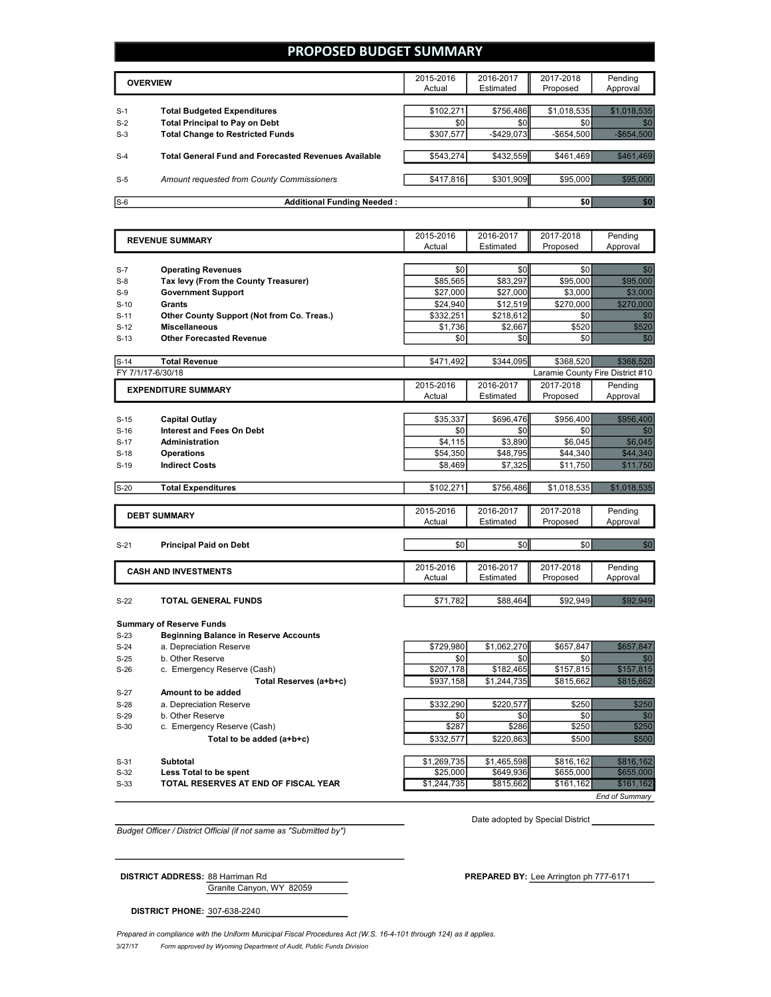### **PROPOSED BUDGET SUMMARY**

|       | <b>OVERVIEW</b>                                             | 2015-2016<br>Actual | 2016-2017<br>Estimated | 2017-2018<br>Proposed | Pending<br>Approval |
|-------|-------------------------------------------------------------|---------------------|------------------------|-----------------------|---------------------|
| $S-1$ | <b>Total Budgeted Expenditures</b>                          | \$102,271           | \$756.486              | \$1.018.535           |                     |
| $S-2$ | <b>Total Principal to Pay on Debt</b>                       | \$0                 | \$0                    |                       |                     |
| $S-3$ | <b>Total Change to Restricted Funds</b>                     | \$307.577           | $-$ \$429.073          | $-$ \$654,500         |                     |
|       |                                                             |                     |                        |                       |                     |
| $S-4$ | <b>Total General Fund and Forecasted Revenues Available</b> | \$543,274           | \$432,559              | \$461.469             |                     |
|       |                                                             |                     |                        |                       |                     |
| $S-5$ | Amount requested from County Commissioners                  | \$417,816           | \$301,909              |                       | \$95,000            |
|       |                                                             |                     |                        |                       |                     |
| $S-6$ | <b>Additional Funding Needed:</b>                           |                     |                        | SO I                  |                     |

2015-2016 Actual 2016-2017 Estimated 2017-2018 Proposed Pending Approval S-7 **Operating Revenues** \$0 \$0 \$0 \$0 S-8 **Tax levy (From the County Treasurer)** \$85,565 \$83,297 \$95,000 \$95,000 S-9 **Government Support** \$27,000 \$27,000 \$3,000 \$3,000 S-10 **Grants** \$24,940 \$12,519 \$270,000 \$270,000 S-11 **Other County Support (Not from Co. Treas.)** \$332,251 \$218,612 \$0 \$0 S-12 Miscellaneous \$1,736 \$2,667 \$520 \$\$20 S-13 **Other Forecasted Revenue** \$0 \$0 \$0 \$0 S-14 **Total Revenue** \$471,492 \$344,095 \$368,520 \$368,520 FY 7/1/17-6/30/18 Laramie County Fire District #10 2015-2016 Actual 2016-2017 Estimated 2017-2018 Proposed Pending Approval S-15 **Capital Outlay** \$35,337 | \$696,476 | \$956,400  *\$*956,400 S-16 **Interest and Fees On Debt** \$0 \$0 \$0 \$0 S-17 **Administration 65,045 Administration 65,045 Administration 65,045 Administration** S-18 **Operations** \$54,350 \$48,795 \$44,340 \$44,340 **S-19 Indirect Costs being the set of the set of the set of the set of the set of the set of the set of the set of the set of the set of the set of the set of the set of the set of the set of the set of the set of the** S-20 **Total Expenditures** \$102,271 \$756,486 \$1,018,535 \$1,018,535 2015-2016 Actual 2016-2017 Estimated 2017-2018 Proposed Pending Approval S-21 **Principal Paid on Debt** \$0 \$0 \$0 \$0 2015-2016 Actual 2016-2017 Estimated 2017-2018 Proposed Pending Approval **S-22 <b>TOTAL GENERAL FUNDS** \$88,464 **\$71,782** \$88,464 \$92,949 \$92,949 **EXPENDITURE SUMMARY REVENUE SUMMARY DEBT SUMMARY CASH AND INVESTMENTS**

#### **Summary of Reserve Funds**

S-23 **Beginning Balance in Reserve Accounts**

S-24 a. Depreciation Reserve **120 a. Depreciation Reserve 120 a. Depreciation Reserve 120 a.** 2010 \$1,062,270 \$657,847 \$657,847

S-25 b. Other Reserve \$0 \$0 \$0 \$0

S-26 c. Emergency Reserve (Cash) **\$207,178** \$182,465 \$157,815 \$157,815

- S-27 **Amount to be added**
- 
- 
- -
- 
- 
- S-33 **TOTAL RESERVES AT END OF FISCAL YEAR** \$1,244,735 \$815,662 \$161,162 \$161,162

**Total Reserves (a+b+c)**  $$937,158$  $$1,244,735$  $$815,662$  $$815,662$ S-28 a. Depreciation Reserve **by Example 2000 \$220,577** \$250 \$220,577 \$250 S-29 b. Other Reserve  $\overline{\text{S0}}$   $\overline{\text{S0}}$   $\overline{\text{S0}}$   $\overline{\text{S0}}$   $\overline{\text{S0}}$   $\overline{\text{S0}}$   $\overline{\text{S0}}$   $\overline{\text{S0}}$ S-30 c. Emergency Reserve (Cash) \$287 \$286 \$250 \$250 **Total to be added (a+b+c)**  $$332,577$  $$220,863$  **\$500** S-31 **Subtotal \$1,269,735 \$31,465,598 \$8816,162 \$816,162** S-32 **Less Total to be spent** \$25,000 \$649,936 \$655,000 \$655,000

*End of Summary*

*Budget Officer / District Official (if not same as "Submitted by")*

Granite Canyon, WY 82059

Date adopted by Special District

**DISTRICT ADDRESS:** 88 Harriman Rd **PREPARED BY:** Lee Arrington ph 777-6171

**DISTRICT PHONE:** 307-638-2240

3/27/17 *Form approved by Wyoming Department of Audit, Public Funds Division* Prepared in compliance with the Uniform Municipal Fiscal Procedures Act (W.S. 16-4-101 through 124) as it applies.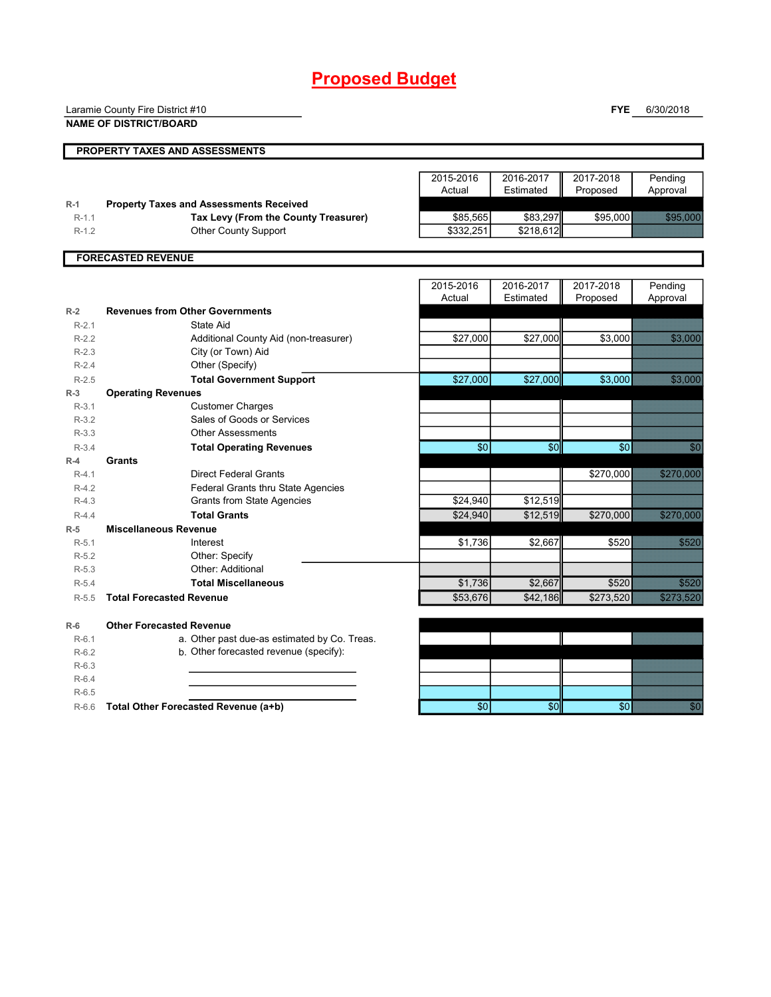# **Proposed Budget**

|         | Laramie County Fire District #10               |                 |                 | <b>FYE</b> | 6/30/2018                                                                                                                                                                                                                        |
|---------|------------------------------------------------|-----------------|-----------------|------------|----------------------------------------------------------------------------------------------------------------------------------------------------------------------------------------------------------------------------------|
|         | <b>NAME OF DISTRICT/BOARD</b>                  |                 |                 |            |                                                                                                                                                                                                                                  |
|         |                                                |                 |                 |            |                                                                                                                                                                                                                                  |
|         | PROPERTY TAXES AND ASSESSMENTS                 |                 |                 |            |                                                                                                                                                                                                                                  |
|         |                                                | 2015-2016       | 2016-2017       | 2017-2018  | Pending                                                                                                                                                                                                                          |
|         |                                                | Actual          | Estimated       | Proposed   | Approval                                                                                                                                                                                                                         |
| $R-1$   | <b>Property Taxes and Assessments Received</b> |                 |                 |            |                                                                                                                                                                                                                                  |
| $R-1.1$ | Tax Levy (From the County Treasurer)           | \$85,565        | \$83,297        | \$95,000   | a a chun                                                                                                                                                                                                                         |
| $R-1.2$ | <b>Other County Support</b>                    | \$332,251       | \$218,612       |            |                                                                                                                                                                                                                                  |
|         |                                                |                 |                 |            |                                                                                                                                                                                                                                  |
|         | <b>FORECASTED REVENUE</b>                      |                 |                 |            |                                                                                                                                                                                                                                  |
|         |                                                | 2015-2016       | 2016-2017       | 2017-2018  | Pending                                                                                                                                                                                                                          |
|         |                                                | Actual          | Estimated       | Proposed   | Approval                                                                                                                                                                                                                         |
| $R-2$   | <b>Revenues from Other Governments</b>         |                 |                 |            |                                                                                                                                                                                                                                  |
| $R-2.1$ | State Aid                                      |                 |                 |            |                                                                                                                                                                                                                                  |
| $R-2.2$ | Additional County Aid (non-treasurer)          | \$27,000        | \$27,000        | \$3,000    | <b>1999 - 1999 - 1999</b>                                                                                                                                                                                                        |
| $R-2.3$ | City (or Town) Aid                             |                 |                 |            |                                                                                                                                                                                                                                  |
| $R-2.4$ | Other (Specify)                                |                 |                 |            |                                                                                                                                                                                                                                  |
| $R-2.5$ | <b>Total Government Support</b>                | \$27,000        | \$27,000        | \$3,000    | <b>1999 - 1999 - 1999</b>                                                                                                                                                                                                        |
| $R-3$   | <b>Operating Revenues</b>                      |                 |                 |            |                                                                                                                                                                                                                                  |
| $R-3.1$ | <b>Customer Charges</b>                        |                 |                 |            |                                                                                                                                                                                                                                  |
| $R-3.2$ | Sales of Goods or Services                     |                 |                 |            |                                                                                                                                                                                                                                  |
| $R-3.3$ | <b>Other Assessments</b>                       |                 |                 |            |                                                                                                                                                                                                                                  |
| $R-3.4$ | <b>Total Operating Revenues</b>                | \$0             | $\overline{50}$ | \$0        | 20                                                                                                                                                                                                                               |
| $R-4$   | Grants                                         |                 |                 |            |                                                                                                                                                                                                                                  |
| $R-4.1$ | <b>Direct Federal Grants</b>                   |                 |                 | \$270,000  | <u> Elizabeth Carl</u>                                                                                                                                                                                                           |
| $R-4.2$ | <b>Federal Grants thru State Agencies</b>      |                 |                 |            |                                                                                                                                                                                                                                  |
| $R-4.3$ | <b>Grants from State Agencies</b>              | \$24,940        | \$12,519        |            |                                                                                                                                                                                                                                  |
| $R-4.4$ | <b>Total Grants</b>                            | \$24,940        | \$12,519        | \$270,000  | a a shekarar 200                                                                                                                                                                                                                 |
| $R-5$   | <b>Miscellaneous Revenue</b>                   |                 |                 |            |                                                                                                                                                                                                                                  |
| $R-5.1$ | Interest                                       | \$1,736         | \$2,667         | \$520      | <b>STAND</b>                                                                                                                                                                                                                     |
| $R-5.2$ | Other: Specify<br>Other: Additional            |                 |                 |            |                                                                                                                                                                                                                                  |
| $R-5.3$ | <b>Total Miscellaneous</b>                     | \$1,736         | \$2,667         | \$520      | <b>SEILI</b>                                                                                                                                                                                                                     |
| $R-5.4$ | <b>Total Forecasted Revenue</b>                | \$53,676        | \$42,186        |            | a a componente de la componente de la componente de la componente de la componente de la componente de la comp<br>En la componente de la componente de la componente de la componente de la componente de la componente de la co |
| $R-5.5$ |                                                |                 |                 | \$273,520  |                                                                                                                                                                                                                                  |
| $R-6$   | <b>Other Forecasted Revenue</b>                |                 |                 |            |                                                                                                                                                                                                                                  |
| $R-6.1$ | a. Other past due-as estimated by Co. Treas.   |                 |                 |            |                                                                                                                                                                                                                                  |
| $R-6.2$ | b. Other forecasted revenue (specify):         |                 |                 |            |                                                                                                                                                                                                                                  |
| $R-6.3$ |                                                |                 |                 |            |                                                                                                                                                                                                                                  |
| $R-6.4$ |                                                |                 |                 |            |                                                                                                                                                                                                                                  |
| $R-6.5$ |                                                |                 |                 |            |                                                                                                                                                                                                                                  |
| $R-6.6$ | Total Other Forecasted Revenue (a+b)           | $\overline{60}$ | \$0             | \$0        | en<br>Statistik                                                                                                                                                                                                                  |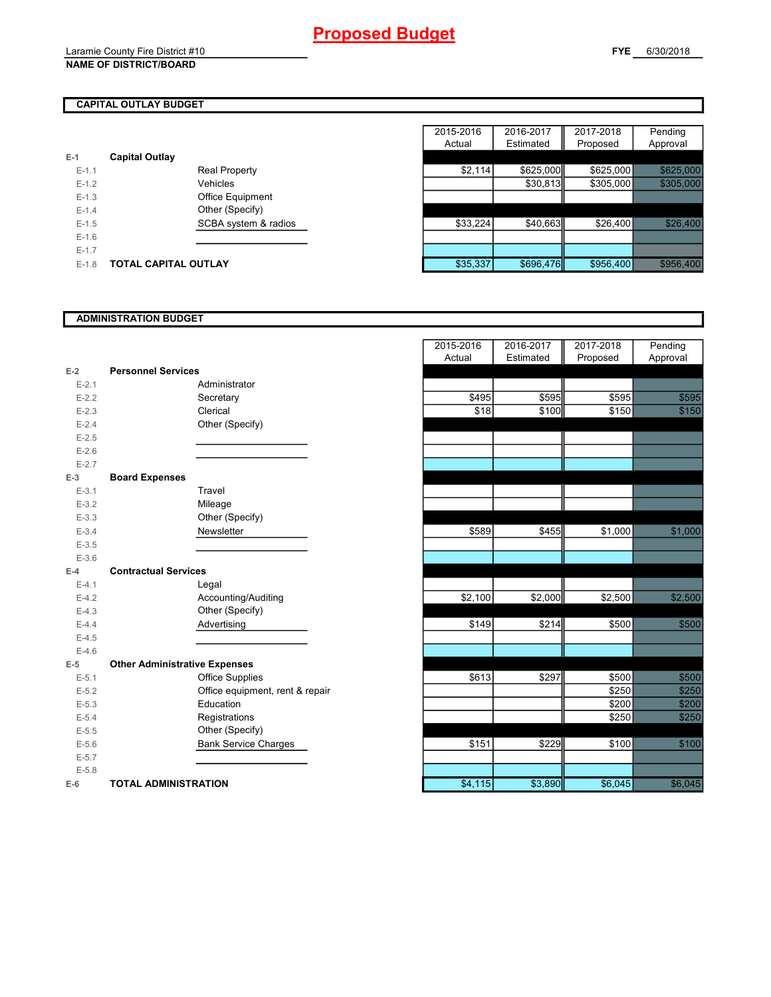### Laramie County Fire District #10 **NAME OF DISTRICT/BOARD**

## **CAPITAL OUTLAY BUDGET**

| $E-1$   | <b>Capital Outlay</b> |                         |
|---------|-----------------------|-------------------------|
| $F-11$  |                       | <b>Real Property</b>    |
| $F-12$  |                       | Vehicles                |
| $F-1.3$ |                       | <b>Office Equipment</b> |
| $F-14$  |                       | Other (Specify)         |
| $F-1.5$ |                       | SCBA system & radios    |
| $F-16$  |                       |                         |
| $F-17$  |                       |                         |
| $F-1.8$ | TOTAL CAPITAL OUTLAY  |                         |

|         |                             |                         | 2015-2016 | 2016-2017 | 2017-2018 | Pending            |
|---------|-----------------------------|-------------------------|-----------|-----------|-----------|--------------------|
|         |                             |                         | Actual    | Estimated | Proposed  | Approval           |
|         | <b>Capital Outlay</b>       |                         |           |           |           |                    |
| $E-1.1$ |                             | <b>Real Property</b>    | \$2,114   | \$625,000 | \$625,000 | <u> Karansista</u> |
| $E-1.2$ |                             | Vehicles                |           | \$30,813  | \$305,000 | ERTE ETTE          |
| $E-1.3$ |                             | <b>Office Equipment</b> |           |           |           |                    |
| $E-1.4$ |                             | Other (Specify)         |           |           |           |                    |
| $E-1.5$ |                             | SCBA system & radios    | \$33,224  | \$40,663  | \$26,400  | <b>BARTON BAR</b>  |
| $E-1.6$ |                             |                         |           |           |           |                    |
| $E-1.7$ |                             |                         |           |           |           |                    |
| $E-1.8$ | <b>TOTAL CAPITAL OUTLAY</b> |                         | \$35,337  | \$696,476 | \$956,400 |                    |

## **ADMINISTRATION BUDGET**

| $E-2$     | <b>Personnel Services</b>            |                              |
|-----------|--------------------------------------|------------------------------|
| $E - 2.1$ |                                      | Administrator                |
| $E - 2.2$ |                                      | Secretary                    |
| $E - 2.3$ |                                      | Clerical                     |
| $E-2.4$   |                                      | Other (Specify)              |
| $E - 2.5$ |                                      |                              |
| $E-2.6$   |                                      |                              |
| $E - 2.7$ |                                      |                              |
| $E-3$     | <b>Board Expenses</b>                |                              |
| $E-3.1$   |                                      | Travel                       |
| $E - 3.2$ |                                      | Mileage                      |
| $E - 3.3$ |                                      | Other (Specify)              |
| $E - 3.4$ |                                      | Newsletter                   |
| $E - 3.5$ |                                      |                              |
| $E - 3.6$ |                                      |                              |
| $E-4$     | <b>Contractual Services</b>          |                              |
| $E - 4.1$ |                                      | Legal                        |
| $E-4.2$   |                                      | Accounting/Auditing          |
| $E-4.3$   |                                      | Other (Specify)              |
| $E-4.4$   |                                      | Advertising                  |
| $E-4.5$   |                                      |                              |
| $E-4.6$   |                                      |                              |
| $E-5$     | <b>Other Administrative Expenses</b> |                              |
| $E - 5.1$ |                                      | <b>Office Supplies</b>       |
| $E - 5.2$ |                                      | Office equipment, rent & rep |
| $E - 5.3$ |                                      | Education                    |
| $E - 5.4$ |                                      | Registrations                |
| $E - 5.5$ |                                      | Other (Specify)              |
| $E-5.6$   |                                      | <b>Bank Service Charges</b>  |
| $E - 5.7$ |                                      |                              |
| $E - 5.8$ |                                      |                              |
| $E-6$     | <b>TOTAL ADMINISTRATION</b>          |                              |

|                          |                                      | 2015-2016<br>Actual | 2016-2017<br>Estimated | 2017-2018<br>Proposed | Pending<br>Approval |
|--------------------------|--------------------------------------|---------------------|------------------------|-----------------------|---------------------|
| Ż                        | <b>Personnel Services</b>            |                     |                        |                       |                     |
| $E - 2.1$                | Administrator                        |                     |                        |                       |                     |
| $E - 2.2$                | Secretary                            | \$495               | \$595                  | \$595                 | <b>SERIES</b>       |
| $E - 2.3$                | Clerical                             | \$18                | \$100                  | \$150                 | <b>Santa Bara</b>   |
| $E - 2.4$                | Other (Specify)                      |                     |                        |                       |                     |
| $E-2.5$                  |                                      |                     |                        |                       |                     |
| $E - 2.6$                |                                      |                     |                        |                       |                     |
| $E - 2.7$                |                                      |                     |                        |                       |                     |
| $\overline{\phantom{0}}$ | <b>Board Expenses</b>                |                     |                        |                       |                     |
| $E - 3.1$                | Travel                               |                     |                        |                       |                     |
| $E - 3.2$                | Mileage                              |                     |                        |                       |                     |
| $E - 3.3$                | Other (Specify)                      |                     |                        |                       |                     |
| $E - 3.4$                | Newsletter                           | \$589               | \$455                  | \$1,000               |                     |
| $E - 3.5$                |                                      |                     |                        |                       |                     |
| $E - 3.6$                |                                      |                     |                        |                       |                     |
| l.                       | <b>Contractual Services</b>          |                     |                        |                       |                     |
| $E - 4.1$                | Legal                                |                     |                        |                       |                     |
| $E - 4.2$                | Accounting/Auditing                  | \$2,100             | \$2,000                | \$2,500               | <u>Sidan Sa</u>     |
| $E-4.3$                  | Other (Specify)                      |                     |                        |                       |                     |
| $E - 4.4$                | Advertising                          | \$149               | \$214                  | \$500                 | na an ainm          |
| $E-4.5$                  |                                      |                     |                        |                       |                     |
| $E - 4.6$                |                                      |                     |                        |                       |                     |
| $\overline{\phantom{a}}$ | <b>Other Administrative Expenses</b> |                     |                        |                       |                     |
| $E - 5.1$                | Office Supplies                      | \$613               | \$297                  | \$500                 | 3333                |
| $E - 5.2$                | Office equipment, rent & repair      |                     |                        | \$250                 |                     |
| $E - 5.3$                | Education                            |                     |                        | \$200                 | <u>SASS</u>         |
| $E - 5.4$                | Registrations                        |                     |                        | \$250                 | <u>Sidasid</u>      |
| $E - 5.5$                | Other (Specify)                      |                     |                        |                       |                     |
| $E - 5.6$                | <b>Bank Service Charges</b>          | \$151               | \$229                  | \$100                 |                     |
| $E - 5.7$                |                                      |                     |                        |                       |                     |
| $E - 5.8$                |                                      |                     |                        |                       |                     |
| î                        | <b>TOTAL ADMINISTRATION</b>          | \$4,115             | \$3,890                | \$6,045               | <b>Santa Linda</b>  |
|                          |                                      |                     |                        |                       |                     |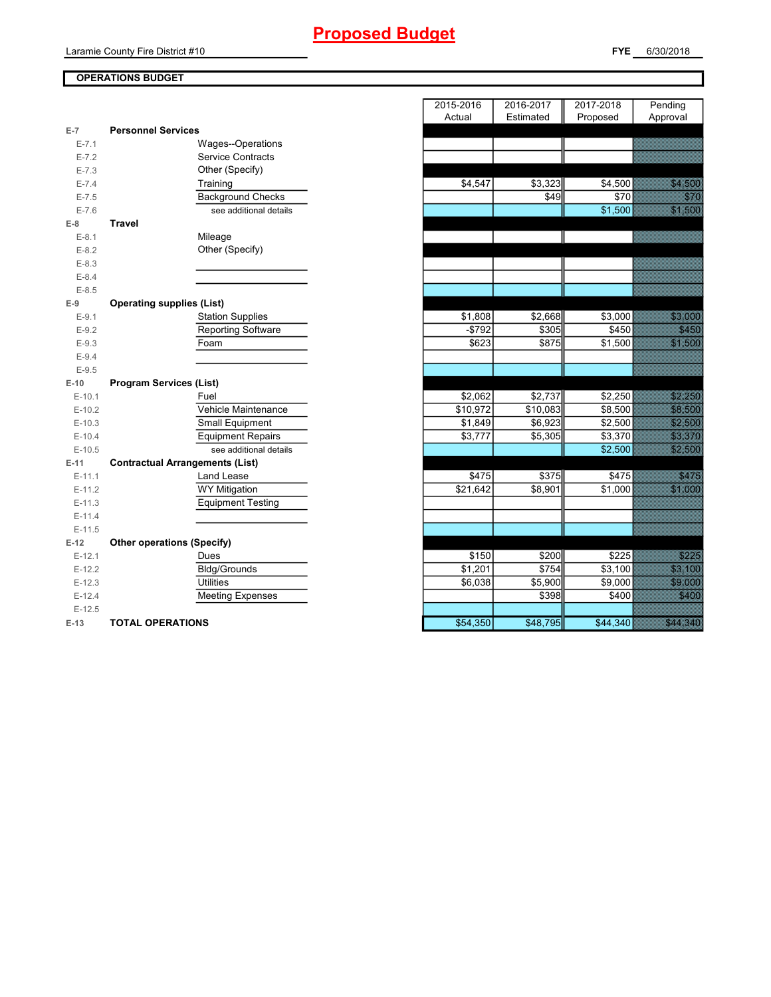## **Proposed Budget**

Laramie County Fire District #10

## **FYE** 6/30/2018

## **OPERATIONS BUDGET**

| $E-7$     | <b>Personnel Services</b>              |                      |          |             |                                                                                                                      |
|-----------|----------------------------------------|----------------------|----------|-------------|----------------------------------------------------------------------------------------------------------------------|
| $E - 7.1$ | Wages--Operations                      |                      |          |             |                                                                                                                      |
| $E - 7.2$ | <b>Service Contracts</b>               |                      |          |             |                                                                                                                      |
| $E - 7.3$ | Other (Specify)                        |                      |          |             |                                                                                                                      |
| $E - 7.4$ | Training                               | \$4,547              | \$3,323  | \$4,500     | <b>SANTA COMPOSIT</b>                                                                                                |
| $E - 7.5$ | <b>Background Checks</b>               |                      | \$49     | <b>\$70</b> | an dhe                                                                                                               |
| $E - 7.6$ | see additional details                 |                      |          | \$1,500     |                                                                                                                      |
| $E-8$     | <b>Travel</b>                          |                      |          |             |                                                                                                                      |
| $E-8.1$   | Mileage                                |                      |          |             |                                                                                                                      |
| $E-8.2$   | Other (Specify)                        |                      |          |             |                                                                                                                      |
| $E-8.3$   |                                        |                      |          |             |                                                                                                                      |
| $E - 8.4$ |                                        |                      |          |             |                                                                                                                      |
| $E - 8.5$ |                                        |                      |          |             |                                                                                                                      |
| $E-9$     | <b>Operating supplies (List)</b>       |                      |          |             |                                                                                                                      |
| $E-9.1$   | <b>Station Supplies</b>                | \$1,808              | \$2,668  | \$3,000     |                                                                                                                      |
| $E-9.2$   | <b>Reporting Software</b>              | $-$792$              | \$305    | \$450       | en de la filosofia<br>Altalante                                                                                      |
| $E-9.3$   | Foam                                   | \$623                | \$875    | \$1,500     |                                                                                                                      |
| $E-9.4$   |                                        |                      |          |             |                                                                                                                      |
| $E-9.5$   |                                        |                      |          |             |                                                                                                                      |
| $E-10$    | <b>Program Services (List)</b>         |                      |          |             |                                                                                                                      |
| $E-10.1$  | Fuel                                   | \$2,062              | \$2,737  | \$2,250     | <u>standard</u>                                                                                                      |
| $E-10.2$  | Vehicle Maintenance                    | \$10,972             | \$10,083 | \$8,500     |                                                                                                                      |
| $E-10.3$  | Small Equipment                        | \$1,849              | \$6,923  | \$2,500     | <u>e de la provincia de la provincia de la provincia de la provincia de la provincia de la provincia de la provi</u> |
| $E-10.4$  | <b>Equipment Repairs</b>               | \$3,777              | \$5,305  | \$3,370     | <u> Maria I</u>                                                                                                      |
| $E-10.5$  | see additional details                 |                      |          | \$2,500     | <b>SALESS</b>                                                                                                        |
| $E-11$    | <b>Contractual Arrangements (List)</b> |                      |          |             |                                                                                                                      |
| $E-11.1$  | Land Lease                             | \$475                | \$375    | \$475       | an dhe                                                                                                               |
| $E-11.2$  | <b>WY Mitigation</b>                   | \$21,642             | \$8,901  | \$1,000     |                                                                                                                      |
| $E-11.3$  | <b>Equipment Testing</b>               |                      |          |             |                                                                                                                      |
| $E-11.4$  |                                        |                      |          |             |                                                                                                                      |
| $E-11.5$  |                                        |                      |          |             |                                                                                                                      |
| $E-12$    | <b>Other operations (Specify)</b>      |                      |          |             |                                                                                                                      |
| $E-12.1$  | Dues                                   | \$150                | \$200    | \$225       | <u>Siddle</u>                                                                                                        |
| $E-12.2$  | Bldg/Grounds                           | $\overline{\$1,201}$ | \$754    | \$3,100     | <b>RADIO COM</b>                                                                                                     |
| $E-12.3$  | <b>Utilities</b>                       | \$6,038              | \$5,900  | \$9,000     | <b>Side of the Sea</b>                                                                                               |
| $E-12.4$  | <b>Meeting Expenses</b>                |                      | \$398    | \$400       |                                                                                                                      |
| $E-12.5$  |                                        |                      |          |             |                                                                                                                      |
| $E-13$    | <b>TOTAL OPERATIONS</b>                | \$54,350             | \$48,795 | \$44.340    | a ar an ainm                                                                                                         |

|                      |                                         | 2015-2016 | 2016-2017 | 2017-2018          | Pending                                                                                                                                                                                                                       |
|----------------------|-----------------------------------------|-----------|-----------|--------------------|-------------------------------------------------------------------------------------------------------------------------------------------------------------------------------------------------------------------------------|
|                      |                                         | Actual    | Estimated | Proposed           | Approval                                                                                                                                                                                                                      |
| $\overline{7}$       | <b>Personnel Services</b>               |           |           |                    |                                                                                                                                                                                                                               |
| $E - 7.1$            | Wages--Operations                       |           |           |                    |                                                                                                                                                                                                                               |
| $E - 7.2$            | <b>Service Contracts</b>                |           |           |                    |                                                                                                                                                                                                                               |
| $E - 7.3$            | Other (Specify)                         |           |           |                    |                                                                                                                                                                                                                               |
| $E - 7.4$            | Training                                | \$4,547   | \$3,323   | \$4,500            | <b>1999</b>                                                                                                                                                                                                                   |
| $E - 7.5$            | <b>Background Checks</b>                |           | \$49      | \$70               | <b>Sida</b>                                                                                                                                                                                                                   |
| $E - 7.6$            | see additional details                  |           |           | \$1,500            |                                                                                                                                                                                                                               |
| 8                    | <b>Travel</b>                           |           |           |                    |                                                                                                                                                                                                                               |
| $E-8.1$              | Mileage                                 |           |           |                    | <u> Kalèndher Kalèndher Kalèndher Kalèndher Kalèndher Kalèndher Kalèndher Kalèndher Kalèndher Kalèndher Kalèndhe</u>                                                                                                          |
| $E-8.2$              | Other (Specify)                         |           |           |                    |                                                                                                                                                                                                                               |
| $E-8.3$              |                                         |           |           |                    |                                                                                                                                                                                                                               |
| $E-8.4$              |                                         |           |           |                    |                                                                                                                                                                                                                               |
| $E-8.5$              |                                         |           |           |                    |                                                                                                                                                                                                                               |
| 9                    | <b>Operating supplies (List)</b>        |           |           |                    |                                                                                                                                                                                                                               |
| $E-9.1$              | <b>Station Supplies</b>                 | \$1,808   | \$2,668   | \$3,000            |                                                                                                                                                                                                                               |
| $E-9.2$              | <b>Reporting Software</b>               | $-$792$   | \$305     | \$450              | <b>Series</b>                                                                                                                                                                                                                 |
| $E-9.3$              | Foam                                    | \$623     | \$875     | \$1,500            |                                                                                                                                                                                                                               |
| $E-9.4$              |                                         |           |           |                    |                                                                                                                                                                                                                               |
| $E-9.5$              |                                         |           |           |                    |                                                                                                                                                                                                                               |
| $-10$                | <b>Program Services (List)</b>          |           |           |                    |                                                                                                                                                                                                                               |
| $E-10.1$             | Fuel                                    | \$2,062   | \$2,737   | \$2,250            | <u>Siden de Si</u>                                                                                                                                                                                                            |
| $E-10.2$             | Vehicle Maintenance                     | \$10,972  | \$10,083  | \$8,500            | 33.33                                                                                                                                                                                                                         |
| $E-10.3$             | Small Equipment                         | \$1,849   | \$6,923   | \$2,500            | <b>Side State</b>                                                                                                                                                                                                             |
| $E-10.4$             | <b>Equipment Repairs</b>                | \$3,777   | \$5,305   | \$3,370            | <u> Sama</u>                                                                                                                                                                                                                  |
| $E-10.5$             | see additional details                  |           |           | \$2,500            | <u>Silanda</u>                                                                                                                                                                                                                |
| $-11$                | <b>Contractual Arrangements (List)</b>  |           |           |                    |                                                                                                                                                                                                                               |
| $E-11.1$             | <b>Land Lease</b>                       | \$475     | \$375     | \$475              | en en de la falsa de la falsa de la falsa de la falsa de la falsa de la falsa de la falsa de la falsa de la f<br>Estado de la falsa de la falsa de la falsa de la falsa de la falsa de la falsa de la falsa de la falsa de la |
| $E-11.2$             | <b>WY Mitigation</b>                    | \$21,642  | \$8,901   | \$1,000            |                                                                                                                                                                                                                               |
| E-11.3               | <b>Equipment Testing</b>                |           |           |                    |                                                                                                                                                                                                                               |
| $E-11.4$             |                                         |           |           |                    |                                                                                                                                                                                                                               |
| $E-11.5$             |                                         |           |           |                    |                                                                                                                                                                                                                               |
| $-12$                | <b>Other operations (Specify)</b>       | \$150     | \$200     | \$225              | <u>Santa C</u>                                                                                                                                                                                                                |
| $E-12.1$             | Dues                                    | \$1,201   | \$754     |                    |                                                                                                                                                                                                                               |
| $E-12.2$             | <b>Bldg/Grounds</b><br><b>Utilities</b> | \$6,038   | \$5,900   | \$3,100<br>\$9,000 | 33.33<br>33.3333                                                                                                                                                                                                              |
| $E-12.3$             |                                         |           | \$398     | \$400              |                                                                                                                                                                                                                               |
| $E-12.4$<br>$E-12.5$ | <b>Meeting Expenses</b>                 |           |           |                    |                                                                                                                                                                                                                               |
| $-13$                | <b>TOTAL OPERATIONS</b>                 | \$54,350  | \$48,795  | \$44,340           | a kalendari ka                                                                                                                                                                                                                |
|                      |                                         |           |           |                    |                                                                                                                                                                                                                               |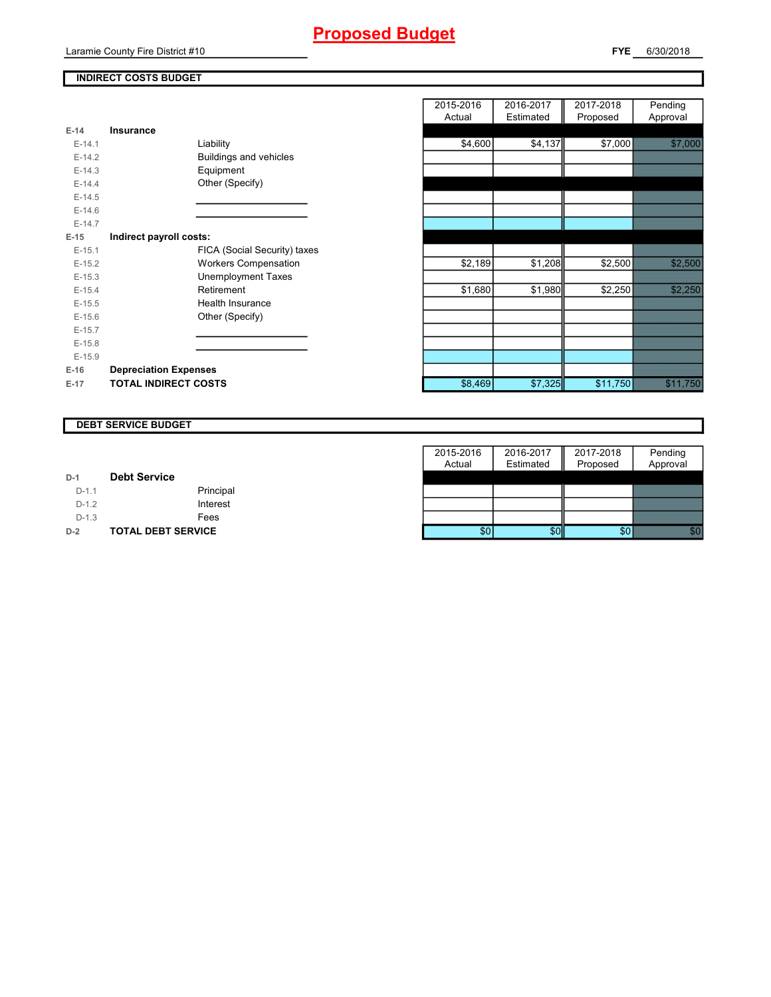## **Proposed Budget**

## **INDIRECT COSTS BUDGET**

| E-14     | Insurance                     |
|----------|-------------------------------|
| $E-14.1$ | Liability                     |
| $E-14.2$ | <b>Buildings and vehicles</b> |
| $F-14.3$ | Equipment                     |
| $F-144$  | Other (Specify)               |
| $F-14.5$ |                               |
| $F-146$  |                               |
| $F-147$  |                               |
| E-15     | Indirect payroll costs:       |
| $E-15.1$ | FICA (Social Security) taxes  |
| $F-152$  | <b>Workers Compensation</b>   |
| $E-15.3$ | Unemployment Taxes            |
| $F-154$  | Retirement                    |
| $E-15.5$ | Health Insurance              |
| $F-156$  | Other (Specify)               |
| $E-15.7$ |                               |
| $E-15.8$ |                               |
| $F-15.9$ |                               |
| $E-16$   | <b>Depreciation Expenses</b>  |
| $E-17$   | <b>TOTAL INDIRECT COSTS</b>   |

|          |                               | 2015-2016 | 2016-2017 | 2017-2018 | Pending     |
|----------|-------------------------------|-----------|-----------|-----------|-------------|
|          |                               | Actual    | Estimated | Proposed  | Approval    |
| $E-14$   | <b>Insurance</b>              |           |           |           |             |
| $E-14.1$ | Liability                     | \$4,600   | \$4,137   | \$7,000   |             |
| $E-14.2$ | <b>Buildings and vehicles</b> |           |           |           |             |
| $E-14.3$ | Equipment                     |           |           |           |             |
| $E-14.4$ | Other (Specify)               |           |           |           |             |
| $E-14.5$ |                               |           |           |           |             |
| $E-14.6$ |                               |           |           |           |             |
| $E-14.7$ |                               |           |           |           |             |
| $E-15$   | Indirect payroll costs:       |           |           |           |             |
| $E-15.1$ | FICA (Social Security) taxes  |           |           |           |             |
| $E-15.2$ | <b>Workers Compensation</b>   | \$2,189   | \$1,208   | \$2,500   | 32.7388     |
| $E-15.3$ | <b>Unemployment Taxes</b>     |           |           |           |             |
| $E-15.4$ | Retirement                    | \$1,680   | \$1,980   | \$2,250   |             |
| $E-15.5$ | Health Insurance              |           |           |           |             |
| $E-15.6$ | Other (Specify)               |           |           |           |             |
| $E-15.7$ |                               |           |           |           |             |
| $E-15.8$ |                               |           |           |           |             |
| $E-15.9$ |                               |           |           |           |             |
| E-16     | <b>Depreciation Expenses</b>  |           |           |           |             |
| E-17     | <b>TOTAL INDIRECT COSTS</b>   | \$8,469   | \$7,325   | \$11,750  | <b>1999</b> |
|          |                               |           |           |           |             |

### **DEBT SERVICE BUDGET**

|         |                           | 2015-2016 | 2016-2017 | 2017-2018 | Pending  |
|---------|---------------------------|-----------|-----------|-----------|----------|
|         |                           | Actual    | Estimated | Proposed  | Approval |
| $D-1$   | <b>Debt Service</b>       |           |           |           |          |
| $D-1.1$ | Principal                 |           |           |           |          |
| $D-1.2$ | Interest                  |           |           |           |          |
| $D-1.3$ | Fees                      |           |           |           |          |
| $D-2$   | <b>TOTAL DEBT SERVICE</b> | \$0       | \$0       |           |          |